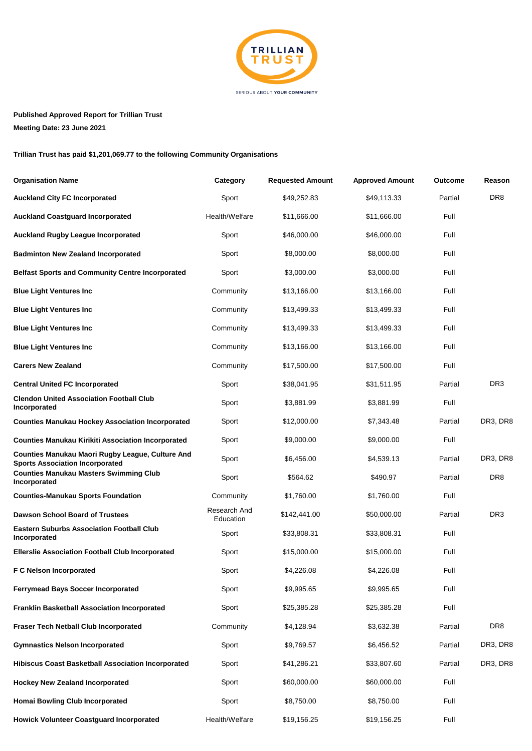

## **Published Approved Report for Trillian Trust**

**Meeting Date: 23 June 2021**

## **Trillian Trust has paid \$1,201,069.77 to the following Community Organisations**

| <b>Organisation Name</b>                                                                   | Category                  | <b>Requested Amount</b> | <b>Approved Amount</b> | <b>Outcome</b> | Reason          |
|--------------------------------------------------------------------------------------------|---------------------------|-------------------------|------------------------|----------------|-----------------|
| <b>Auckland City FC Incorporated</b>                                                       | Sport                     | \$49,252.83             | \$49,113.33            | Partial        | DR <sub>8</sub> |
| <b>Auckland Coastguard Incorporated</b>                                                    | Health/Welfare            | \$11,666.00             | \$11,666.00            | Full           |                 |
| <b>Auckland Rugby League Incorporated</b>                                                  | Sport                     | \$46,000.00             | \$46,000.00            | Full           |                 |
| <b>Badminton New Zealand Incorporated</b>                                                  | Sport                     | \$8,000.00              | \$8,000.00             | Full           |                 |
| <b>Belfast Sports and Community Centre Incorporated</b>                                    | Sport                     | \$3,000.00              | \$3,000.00             | Full           |                 |
| <b>Blue Light Ventures Inc.</b>                                                            | Community                 | \$13,166.00             | \$13,166.00            | Full           |                 |
| <b>Blue Light Ventures Inc.</b>                                                            | Community                 | \$13,499.33             | \$13,499.33            | Full           |                 |
| <b>Blue Light Ventures Inc</b>                                                             | Community                 | \$13,499.33             | \$13,499.33            | Full           |                 |
| <b>Blue Light Ventures Inc.</b>                                                            | Community                 | \$13,166.00             | \$13,166.00            | Full           |                 |
| <b>Carers New Zealand</b>                                                                  | Community                 | \$17,500.00             | \$17,500.00            | Full           |                 |
| <b>Central United FC Incorporated</b>                                                      | Sport                     | \$38,041.95             | \$31,511.95            | Partial        | DR <sub>3</sub> |
| <b>Clendon United Association Football Club</b><br>Incorporated                            | Sport                     | \$3,881.99              | \$3,881.99             | Full           |                 |
| <b>Counties Manukau Hockey Association Incorporated</b>                                    | Sport                     | \$12,000.00             | \$7,343.48             | Partial        | DR3, DR8        |
| <b>Counties Manukau Kirikiti Association Incorporated</b>                                  | Sport                     | \$9,000.00              | \$9,000.00             | Full           |                 |
| Counties Manukau Maori Rugby League, Culture And<br><b>Sports Association Incorporated</b> | Sport                     | \$6,456.00              | \$4,539.13             | Partial        | DR3, DR8        |
| <b>Counties Manukau Masters Swimming Club</b><br>Incorporated                              | Sport                     | \$564.62                | \$490.97               | Partial        | DR8             |
| <b>Counties-Manukau Sports Foundation</b>                                                  | Community                 | \$1,760.00              | \$1,760.00             | Full           |                 |
| <b>Dawson School Board of Trustees</b>                                                     | Research And<br>Education | \$142,441.00            | \$50,000.00            | Partial        | DR3             |
| <b>Eastern Suburbs Association Football Club</b><br>Incorporated                           | Sport                     | \$33,808.31             | \$33,808.31            | Full           |                 |
| <b>Ellerslie Association Football Club Incorporated</b>                                    | Sport                     | \$15,000.00             | \$15,000.00            | Full           |                 |
| F C Nelson Incorporated                                                                    | Sport                     | \$4,226.08              | \$4,226.08             | Full           |                 |
| <b>Ferrymead Bays Soccer Incorporated</b>                                                  | Sport                     | \$9,995.65              | \$9,995.65             | Full           |                 |
| <b>Franklin Basketball Association Incorporated</b>                                        | Sport                     | \$25,385.28             | \$25,385.28            | Full           |                 |
| Fraser Tech Netball Club Incorporated                                                      | Community                 | \$4,128.94              | \$3,632.38             | Partial        | DR <sub>8</sub> |
| <b>Gymnastics Nelson Incorporated</b>                                                      | Sport                     | \$9,769.57              | \$6,456.52             | Partial        | DR3, DR8        |
| <b>Hibiscus Coast Basketball Association Incorporated</b>                                  | Sport                     | \$41,286.21             | \$33,807.60            | Partial        | DR3, DR8        |
| <b>Hockey New Zealand Incorporated</b>                                                     | Sport                     | \$60,000.00             | \$60,000.00            | Full           |                 |
| <b>Homai Bowling Club Incorporated</b>                                                     | Sport                     | \$8,750.00              | \$8,750.00             | Full           |                 |
| <b>Howick Volunteer Coastguard Incorporated</b>                                            | Health/Welfare            | \$19,156.25             | \$19,156.25            | Full           |                 |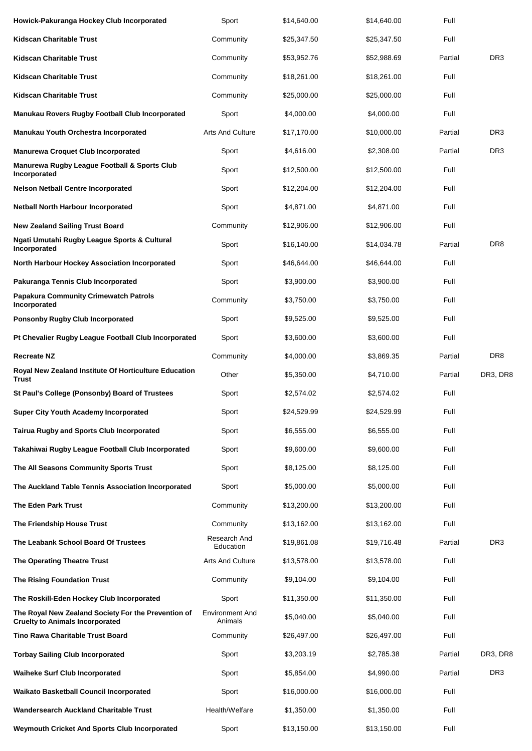| Howick-Pakuranga Hockey Club Incorporated                                                     | Sport                             | \$14,640.00 | \$14,640.00 | Full    |                 |
|-----------------------------------------------------------------------------------------------|-----------------------------------|-------------|-------------|---------|-----------------|
| <b>Kidscan Charitable Trust</b>                                                               | Community                         | \$25,347.50 | \$25,347.50 | Full    |                 |
| <b>Kidscan Charitable Trust</b>                                                               | Community                         | \$53,952.76 | \$52,988.69 | Partial | DR <sub>3</sub> |
| <b>Kidscan Charitable Trust</b>                                                               | Community                         | \$18,261.00 | \$18,261.00 | Full    |                 |
| <b>Kidscan Charitable Trust</b>                                                               | Community                         | \$25,000.00 | \$25,000.00 | Full    |                 |
| Manukau Rovers Rugby Football Club Incorporated                                               | Sport                             | \$4,000.00  | \$4,000.00  | Full    |                 |
| Manukau Youth Orchestra Incorporated                                                          | <b>Arts And Culture</b>           | \$17,170.00 | \$10,000.00 | Partial | DR <sub>3</sub> |
| <b>Manurewa Croquet Club Incorporated</b>                                                     | Sport                             | \$4,616.00  | \$2,308.00  | Partial | DR <sub>3</sub> |
| <b>Manurewa Rugby League Football &amp; Sports Club</b><br>Incorporated                       | Sport                             | \$12,500.00 | \$12,500.00 | Full    |                 |
| <b>Nelson Netball Centre Incorporated</b>                                                     | Sport                             | \$12,204.00 | \$12,204.00 | Full    |                 |
| <b>Netball North Harbour Incorporated</b>                                                     | Sport                             | \$4,871.00  | \$4,871.00  | Full    |                 |
| <b>New Zealand Sailing Trust Board</b>                                                        | Community                         | \$12,906.00 | \$12,906.00 | Full    |                 |
| Ngati Umutahi Rugby League Sports & Cultural<br>Incorporated                                  | Sport                             | \$16,140.00 | \$14,034.78 | Partial | DR <sub>8</sub> |
| North Harbour Hockey Association Incorporated                                                 | Sport                             | \$46,644.00 | \$46,644.00 | Full    |                 |
| Pakuranga Tennis Club Incorporated                                                            | Sport                             | \$3,900.00  | \$3,900.00  | Full    |                 |
| <b>Papakura Community Crimewatch Patrols</b><br>Incorporated                                  | Community                         | \$3,750.00  | \$3,750.00  | Full    |                 |
| <b>Ponsonby Rugby Club Incorporated</b>                                                       | Sport                             | \$9,525.00  | \$9,525.00  | Full    |                 |
| Pt Chevalier Rugby League Football Club Incorporated                                          | Sport                             | \$3,600.00  | \$3,600.00  | Full    |                 |
| <b>Recreate NZ</b>                                                                            | Community                         | \$4,000.00  | \$3,869.35  | Partial | DR <sub>8</sub> |
| Royal New Zealand Institute Of Horticulture Education<br>Trust                                | Other                             | \$5,350.00  | \$4,710.00  | Partial | DR3, DR8        |
| St Paul's College (Ponsonby) Board of Trustees                                                | Sport                             | \$2,574.02  | \$2,574.02  | Full    |                 |
| <b>Super City Youth Academy Incorporated</b>                                                  | Sport                             | \$24,529.99 | \$24,529.99 | Full    |                 |
| Tairua Rugby and Sports Club Incorporated                                                     | Sport                             | \$6,555.00  | \$6,555.00  | Full    |                 |
| Takahiwai Rugby League Football Club Incorporated                                             | Sport                             | \$9,600.00  | \$9,600.00  | Full    |                 |
| The All Seasons Community Sports Trust                                                        | Sport                             | \$8,125.00  | \$8,125.00  | Full    |                 |
| The Auckland Table Tennis Association Incorporated                                            | Sport                             | \$5,000.00  | \$5,000.00  | Full    |                 |
| <b>The Eden Park Trust</b>                                                                    | Community                         | \$13,200.00 | \$13,200.00 | Full    |                 |
| The Friendship House Trust                                                                    | Community                         | \$13,162.00 | \$13,162.00 | Full    |                 |
| The Leabank School Board Of Trustees                                                          | Research And<br>Education         | \$19,861.08 | \$19,716.48 | Partial | DR <sub>3</sub> |
| The Operating Theatre Trust                                                                   | <b>Arts And Culture</b>           | \$13,578.00 | \$13,578.00 | Full    |                 |
| <b>The Rising Foundation Trust</b>                                                            | Community                         | \$9,104.00  | \$9,104.00  | Full    |                 |
| The Roskill-Eden Hockey Club Incorporated                                                     | Sport                             | \$11,350.00 | \$11,350.00 | Full    |                 |
| The Royal New Zealand Society For the Prevention of<br><b>Cruelty to Animals Incorporated</b> | <b>Environment And</b><br>Animals | \$5,040.00  | \$5,040.00  | Full    |                 |
| <b>Tino Rawa Charitable Trust Board</b>                                                       | Community                         | \$26,497.00 | \$26,497.00 | Full    |                 |
| <b>Torbay Sailing Club Incorporated</b>                                                       | Sport                             | \$3,203.19  | \$2,785.38  | Partial | DR3, DR8        |
| <b>Waiheke Surf Club Incorporated</b>                                                         | Sport                             | \$5,854.00  | \$4,990.00  | Partial | DR <sub>3</sub> |
| Waikato Basketball Council Incorporated                                                       | Sport                             | \$16,000.00 | \$16,000.00 | Full    |                 |
| <b>Wandersearch Auckland Charitable Trust</b>                                                 | Health/Welfare                    | \$1,350.00  | \$1,350.00  | Full    |                 |
| Weymouth Cricket And Sports Club Incorporated                                                 | Sport                             | \$13,150.00 | \$13,150.00 | Full    |                 |